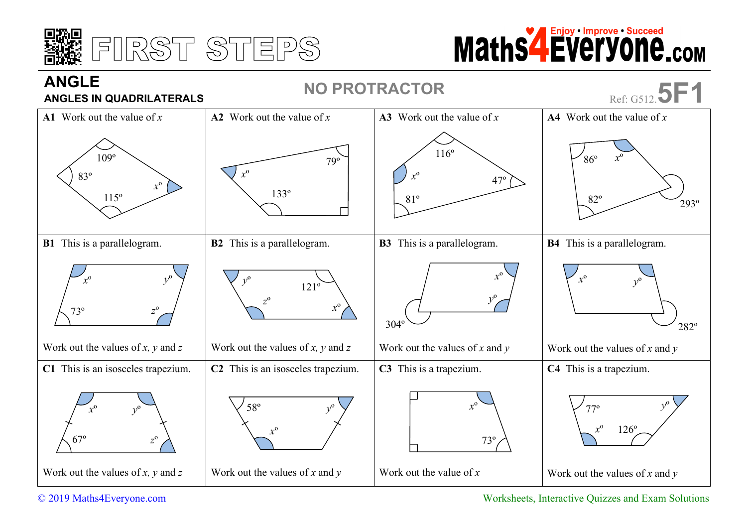